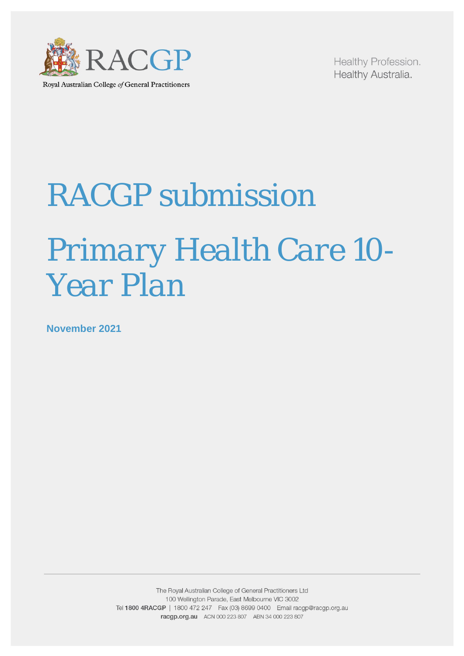

Healthy Profession. Healthy Australia.

# *RACGP submission Primary Health Care 10- Year Plan*

**November 2021**

The Royal Australian College of General Practitioners Ltd 100 Wellington Parade, East Melbourne VIC 3002 Tel 1800 4RACGP | 1800 472 247 Fax (03) 8699 0400 Email racgp@racgp.org.au racgp.org.au ACN 000 223 807 ABN 34 000 223 807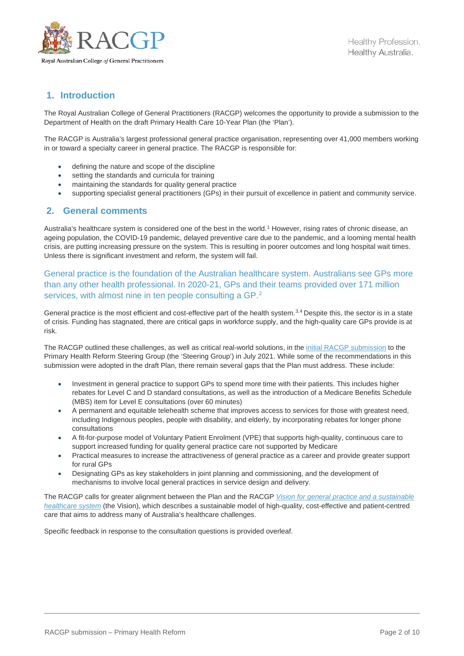

# **1. Introduction**

The Royal Australian College of General Practitioners (RACGP) welcomes the opportunity to provide a submission to the Department of Health on the draft Primary Health Care 10-Year Plan (the 'Plan').

The RACGP is Australia's largest professional general practice organisation, representing over 41,000 members working in or toward a specialty career in general practice. The RACGP is responsible for:

- defining the nature and scope of the discipline
- setting the standards and curricula for training
- maintaining the standards for quality general practice
- supporting specialist general practitioners (GPs) in their pursuit of excellence in patient and community service.

## **2. General comments**

Australia's healthcare system is considered one of the best in the world.<sup>[1](#page-9-0)</sup> However, rising rates of chronic disease, an ageing population, the COVID-19 pandemic, delayed preventive care due to the pandemic, and a looming mental health crisis, are putting increasing pressure on the system. This is resulting in poorer outcomes and long hospital wait times. Unless there is significant investment and reform, the system will fail.

General practice is the foundation of the Australian healthcare system. Australians see GPs more than any other health professional. In 2020-21, GPs and their teams provided over 171 million services, with almost nine in ten people consulting a GP.<sup>[2](#page-9-1)</sup>

General practice is the most efficient and cost-effective part of the health system.<sup>[3,](#page-9-2)[4](#page-9-3)</sup> Despite this, the sector is in a state of crisis. Funding has stagnated, there are critical gaps in workforce supply, and the high-quality care GPs provide is at risk.

The RACGP outlined these challenges, as well as critical real-world solutions, in the initial RACGP [submission](https://www.racgp.org.au/advocacy/reports-and-submissions/view-all-reports-and-submissions/2021-reports-and-submissions/submission-to-primary-care-reform-steering-group) to the Primary Health Reform Steering Group (the 'Steering Group') in July 2021. While some of the recommendations in this submission were adopted in the draft Plan, there remain several gaps that the Plan must address. These include:

- Investment in general practice to support GPs to spend more time with their patients. This includes higher rebates for Level C and D standard consultations, as well as the introduction of a Medicare Benefits Schedule (MBS) item for Level E consultations (over 60 minutes)
- A permanent and equitable telehealth scheme that improves access to services for those with greatest need, including Indigenous peoples, people with disability, and elderly, by incorporating rebates for longer phone consultations
- A fit-for-purpose model of Voluntary Patient Enrolment (VPE) that supports high-quality, continuous care to support increased funding for quality general practice care not supported by Medicare
- Practical measures to increase the attractiveness of general practice as a career and provide greater support for rural GPs
- Designating GPs as key stakeholders in joint planning and commissioning, and the development of mechanisms to involve local general practices in service design and delivery.

The RACGP calls for greater alignment between the Plan and the RACGP *[Vision for general practice and a sustainable](https://www.racgp.org.au/advocacy/advocacy-resources/the-vision-for-general-practice/the-vision)  [healthcare system](https://www.racgp.org.au/advocacy/advocacy-resources/the-vision-for-general-practice/the-vision)* (the Vision), which describes a sustainable model of high-quality, cost-effective and patient-centred care that aims to address many of Australia's healthcare challenges.

Specific feedback in response to the consultation questions is provided overleaf.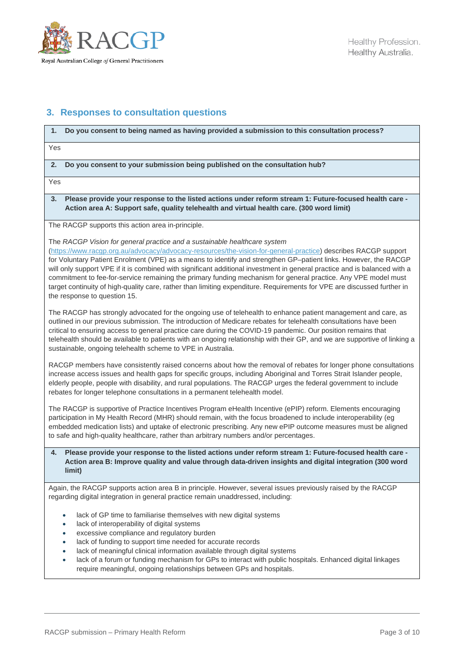

# **3. Responses to consultation questions**

# **1. Do you consent to being named as having provided a submission to this consultation process?**

Yes

**2. Do you consent to your submission being published on the consultation hub?**

Yes

**3. Please provide your response to the listed actions under reform stream 1: Future-focused health care - Action area A: Support safe, quality telehealth and virtual health care. (300 word limit)**

The RACGP supports this action area in-principle.

The *[RACGP Vision for general practice and a sustainable healthcare system](https://www.racgp.org.au/advocacy/advocacy-resources/the-vision-for-general-practice)*

[\(https://www.racgp.org.au/advocacy/advocacy-resources/the-vision-for-general-practice\)](https://www.racgp.org.au/advocacy/advocacy-resources/the-vision-for-general-practice) describes RACGP support for Voluntary Patient Enrolment (VPE) as a means to identify and strengthen GP–patient links. However, the RACGP will only support VPE if it is combined with significant additional investment in general practice and is balanced with a commitment to fee-for-service remaining the primary funding mechanism for general practice. Any VPE model must target continuity of high-quality care, rather than limiting expenditure. Requirements for VPE are discussed further in the response to question 15.

The RACGP has strongly advocated for the ongoing use of telehealth to enhance patient management and care, as outlined in our previous submission. The introduction of Medicare rebates for telehealth consultations have been critical to ensuring access to general practice care during the COVID-19 pandemic. Our position remains that telehealth should be available to patients with an ongoing relationship with their GP, and we are supportive of linking a sustainable, ongoing telehealth scheme to VPE in Australia.

RACGP members have consistently raised concerns about how the removal of rebates for longer phone consultations increase access issues and health gaps for specific groups, including Aboriginal and Torres Strait Islander people, elderly people, people with disability, and rural populations. The RACGP urges the federal government to include rebates for longer telephone consultations in a permanent telehealth model.

The RACGP is supportive of Practice Incentives Program eHealth Incentive (ePIP) reform. Elements encouraging participation in My Health Record (MHR) should remain, with the focus broadened to include interoperability (eg embedded medication lists) and uptake of electronic prescribing. Any new ePIP outcome measures must be aligned to safe and high-quality healthcare, rather than arbitrary numbers and/or percentages.

#### **4. Please provide your response to the listed actions under reform stream 1: Future-focused health care - Action area B: Improve quality and value through data-driven insights and digital integration (300 word limit)**

Again, the RACGP supports action area B in principle. However, several issues previously raised by the RACGP regarding digital integration in general practice remain unaddressed, including:

- lack of GP time to familiarise themselves with new digital systems
- lack of interoperability of digital systems
- excessive compliance and regulatory burden
- lack of funding to support time needed for accurate records
- lack of meaningful clinical information available through digital systems
- lack of a forum or funding mechanism for GPs to interact with public hospitals. Enhanced digital linkages require meaningful, ongoing relationships between GPs and hospitals.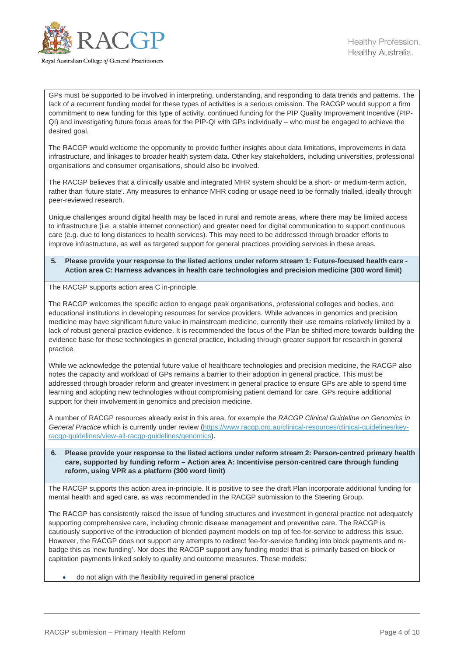

GPs must be supported to be involved in interpreting, understanding, and responding to data trends and patterns. The lack of a recurrent funding model for these types of activities is a serious omission. The RACGP would support a firm commitment to new funding for this type of activity, continued funding for the PIP Quality Improvement Incentive (PIP-QI) and investigating future focus areas for the PIP-QI with GPs individually – who must be engaged to achieve the desired goal.

The RACGP would welcome the opportunity to provide further insights about data limitations, improvements in data infrastructure, and linkages to broader health system data. Other key stakeholders, including universities, professional organisations and consumer organisations, should also be involved.

The RACGP believes that a clinically usable and integrated MHR system should be a short- or medium-term action, rather than 'future state'. Any measures to enhance MHR coding or usage need to be formally trialled, ideally through peer-reviewed research.

Unique challenges around digital health may be faced in rural and remote areas, where there may be limited access to infrastructure (i.e. a stable internet connection) and greater need for digital communication to support continuous care (e.g. due to long distances to health services). This may need to be addressed through broader efforts to improve infrastructure, as well as targeted support for general practices providing services in these areas.

#### **5. Please provide your response to the listed actions under reform stream 1: Future-focused health care - Action area C: Harness advances in health care technologies and precision medicine (300 word limit)**

The RACGP supports action area C in-principle.

The RACGP welcomes the specific action to engage peak organisations, professional colleges and bodies, and educational institutions in developing resources for service providers. While advances in genomics and precision medicine may have significant future value in mainstream medicine, currently their use remains relatively limited by a lack of robust general practice evidence. It is recommended the focus of the Plan be shifted more towards building the evidence base for these technologies in general practice, including through greater support for research in general practice.

While we acknowledge the potential future value of healthcare technologies and precision medicine, the RACGP also notes the capacity and workload of GPs remains a barrier to their adoption in general practice. This must be addressed through broader reform and greater investment in general practice to ensure GPs are able to spend time learning and adopting new technologies without compromising patient demand for care. GPs require additional support for their involvement in genomics and precision medicine.

A number of RACGP resources already exist in this area, for example the *RACGP Clinical Guideline on Genomics in General Practice* which is currently under review [\(https://www.racgp.org.au/clinical-resources/clinical-guidelines/key](https://www.racgp.org.au/clinical-resources/clinical-guidelines/key-racgp-guidelines/view-all-racgp-guidelines/genomics)[racgp-guidelines/view-all-racgp-guidelines/genomics\)](https://www.racgp.org.au/clinical-resources/clinical-guidelines/key-racgp-guidelines/view-all-racgp-guidelines/genomics).

#### **6. Please provide your response to the listed actions under reform stream 2: Person-centred primary health care, supported by funding reform – Action area A: Incentivise person-centred care through funding reform, using VPR as a platform (300 word limit)**

The RACGP supports this action area in-principle. It is positive to see the draft Plan incorporate additional funding for mental health and aged care, as was recommended in the RACGP submission to the Steering Group.

The RACGP has consistently raised the issue of funding structures and investment in general practice not adequately supporting comprehensive care, including chronic disease management and preventive care. The RACGP is cautiously supportive of the introduction of blended payment models on top of fee-for-service to address this issue. However, the RACGP does not support any attempts to redirect fee-for-service funding into block payments and rebadge this as 'new funding'. Nor does the RACGP support any funding model that is primarily based on block or capitation payments linked solely to quality and outcome measures. These models:

• do not align with the flexibility required in general practice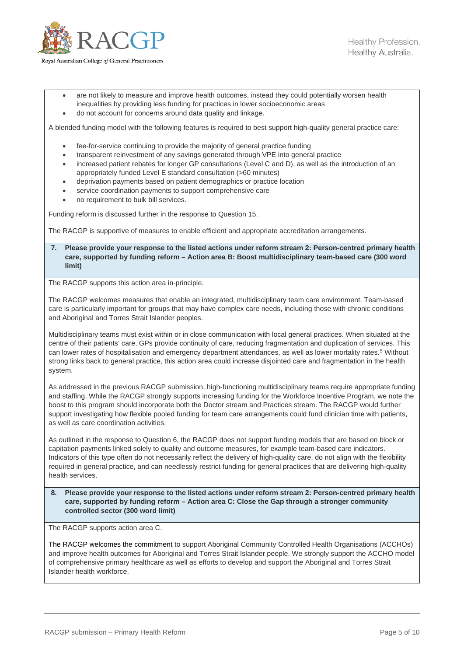

- are not likely to measure and improve health outcomes, instead they could potentially worsen health inequalities by providing less funding for practices in lower socioeconomic areas
- do not account for concerns around data quality and linkage.

A blended funding model with the following features is required to best support high-quality general practice care:

- fee-for-service continuing to provide the majority of general practice funding
- transparent reinvestment of any savings generated through VPE into general practice
- increased patient rebates for longer GP consultations (Level C and D), as well as the introduction of an appropriately funded Level E standard consultation (>60 minutes)
- deprivation payments based on patient demographics or practice location
- service coordination payments to support comprehensive care
- no requirement to bulk bill services.

Funding reform is discussed further in the response to Question 15.

The RACGP is supportive of measures to enable efficient and appropriate accreditation arrangements.

**7. Please provide your response to the listed actions under reform stream 2: Person-centred primary health care, supported by funding reform – Action area B: Boost multidisciplinary team-based care (300 word limit)**

The RACGP supports this action area in-principle.

The RACGP welcomes measures that enable an integrated, multidisciplinary team care environment. Team-based care is particularly important for groups that may have complex care needs, including those with chronic conditions and Aboriginal and Torres Strait Islander peoples.

Multidisciplinary teams must exist within or in close communication with local general practices. When situated at the centre of their patients' care, GPs provide continuity of care, reducing fragmentation and duplication of services. This can lower rates of hospitalisation and emergency department attendances, as well as lower mortality rates.<sup>[5](#page-9-4)</sup> Without strong links back to general practice, this action area could increase disjointed care and fragmentation in the health system.

As addressed in the previous RACGP submission, high-functioning multidisciplinary teams require appropriate funding and staffing. While the RACGP strongly supports increasing funding for the Workforce Incentive Program, we note the boost to this program should incorporate both the Doctor stream and Practices stream. The RACGP would further support investigating how flexible pooled funding for team care arrangements could fund clinician time with patients, as well as care coordination activities.

As outlined in the response to Question 6, the RACGP does not support funding models that are based on block or capitation payments linked solely to quality and outcome measures, for example team-based care indicators. Indicators of this type often do not necessarily reflect the delivery of high-quality care, do not align with the flexibility required in general practice, and can needlessly restrict funding for general practices that are delivering high-quality health services.

**8. Please provide your response to the listed actions under reform stream 2: Person-centred primary health care, supported by funding reform – Action area C: Close the Gap through a stronger community controlled sector (300 word limit)**

The RACGP supports action area C.

The RACGP welcomes the commitment to support Aboriginal Community Controlled Health Organisations (ACCHOs) and improve health outcomes for Aboriginal and Torres Strait Islander people. We strongly support the ACCHO model of comprehensive primary healthcare as well as efforts to develop and support the Aboriginal and Torres Strait Islander health workforce.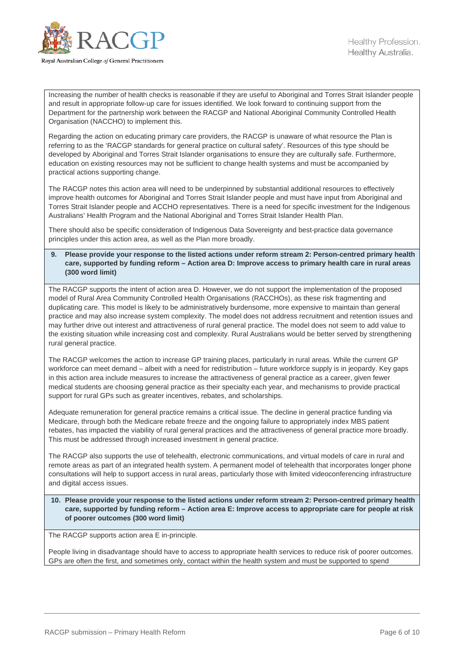

Increasing the number of health checks is reasonable if they are useful to Aboriginal and Torres Strait Islander people and result in appropriate follow-up care for issues identified. We look forward to continuing support from the Department for the partnership work between the RACGP and National Aboriginal Community Controlled Health Organisation (NACCHO) to implement this.

Regarding the action on educating primary care providers, the RACGP is unaware of what resource the Plan is referring to as the 'RACGP standards for general practice on cultural safety'. Resources of this type should be developed by Aboriginal and Torres Strait Islander organisations to ensure they are culturally safe. Furthermore, education on existing resources may not be sufficient to change health systems and must be accompanied by practical actions supporting change.

The RACGP notes this action area will need to be underpinned by substantial additional resources to effectively improve health outcomes for Aboriginal and Torres Strait Islander people and must have input from Aboriginal and Torres Strait Islander people and ACCHO representatives. There is a need for specific investment for the Indigenous Australians' Health Program and the National Aboriginal and Torres Strait Islander Health Plan.

There should also be specific consideration of Indigenous Data Sovereignty and best-practice data governance principles under this action area, as well as the Plan more broadly.

**9. Please provide your response to the listed actions under reform stream 2: Person-centred primary health care, supported by funding reform – Action area D: Improve access to primary health care in rural areas (300 word limit)**

The RACGP supports the intent of action area D. However, we do not support the implementation of the proposed model of Rural Area Community Controlled Health Organisations (RACCHOs), as these risk fragmenting and duplicating care. This model is likely to be administratively burdensome, more expensive to maintain than general practice and may also increase system complexity. The model does not address recruitment and retention issues and may further drive out interest and attractiveness of rural general practice. The model does not seem to add value to the existing situation while increasing cost and complexity. Rural Australians would be better served by strengthening rural general practice.

The RACGP welcomes the action to increase GP training places, particularly in rural areas. While the current GP workforce can meet demand – albeit with a need for redistribution – future workforce supply is in jeopardy. Key gaps in this action area include measures to increase the attractiveness of general practice as a career, given fewer medical students are choosing general practice as their specialty each year, and mechanisms to provide practical support for rural GPs such as greater incentives, rebates, and scholarships.

Adequate remuneration for general practice remains a critical issue. The decline in general practice funding via Medicare, through both the Medicare rebate freeze and the ongoing failure to appropriately index MBS patient rebates, has impacted the viability of rural general practices and the attractiveness of general practice more broadly. This must be addressed through increased investment in general practice.

The RACGP also supports the use of telehealth, electronic communications, and virtual models of care in rural and remote areas as part of an integrated health system. A permanent model of telehealth that incorporates longer phone consultations will help to support access in rural areas, particularly those with limited videoconferencing infrastructure and digital access issues.

**10. Please provide your response to the listed actions under reform stream 2: Person-centred primary health care, supported by funding reform – Action area E: Improve access to appropriate care for people at risk of poorer outcomes (300 word limit)**

The RACGP supports action area E in-principle.

People living in disadvantage should have to access to appropriate health services to reduce risk of poorer outcomes. GPs are often the first, and sometimes only, contact within the health system and must be supported to spend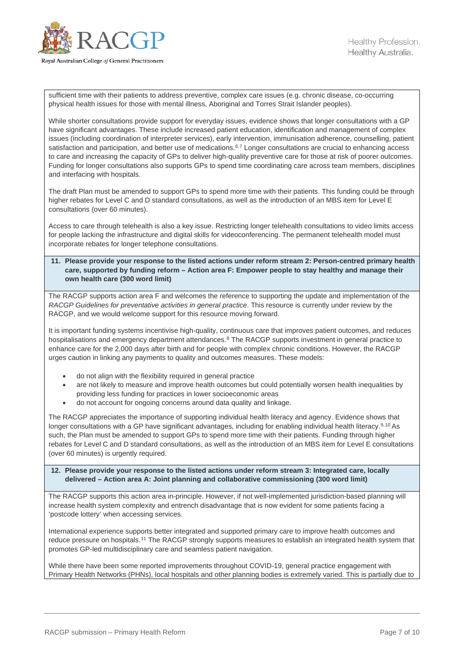

sufficient time with their patients to address preventive, complex care issues (e.g. chronic disease, co-occurring physical health issues for those with mental illness, Aboriginal and Torres Strait Islander peoples).

While shorter consultations provide support for everyday issues, evidence shows that longer consultations with a GP have significant advantages. These include increased patient education, identification and management of complex issues (including coordination of interpreter services), early intervention, immunisation adherence, counselling, patient satisfaction and participation, and better use of medications.<sup>[6](#page-9-5),[7](#page-9-6)</sup> Longer consultations are crucial to enhancing access to care and increasing the capacity of GPs to deliver high-quality preventive care for those at risk of poorer outcomes. Funding for longer consultations also supports GPs to spend time coordinating care across team members, disciplines and interfacing with hospitals.

The draft Plan must be amended to support GPs to spend more time with their patients. This funding could be through higher rebates for Level C and D standard consultations, as well as the introduction of an MBS item for Level E consultations (over 60 minutes).

Access to care through telehealth is also a key issue. Restricting longer telehealth consultations to video limits access for people lacking the infrastructure and digital skills for videoconferencing. The permanent telehealth model must incorporate rebates for longer telephone consultations.

#### **11. Please provide your response to the listed actions under reform stream 2: Person-centred primary health care, supported by funding reform – Action area F: Empower people to stay healthy and manage their own health care (300 word limit)**

The RACGP supports action area F and welcomes the reference to supporting the update and implementation of the *RACGP Guidelines for preventative activities in general practice*. This resource is currently under review by the RACGP, and we would welcome support for this resource moving forward.

It is important funding systems incentivise high-quality, continuous care that improves patient outcomes, and reduces hospitalisations and emergency department attendances.<sup>[8](#page-9-7)</sup> The RACGP supports investment in general practice to enhance care for the 2,000 days after birth and for people with complex chronic conditions. However, the RACGP urges caution in linking any payments to quality and outcomes measures. These models:

- do not align with the flexibility required in general practice
- are not likely to measure and improve health outcomes but could potentially worsen health inequalities by providing less funding for practices in lower socioeconomic areas
- do not account for ongoing concerns around data quality and linkage.

The RACGP appreciates the importance of supporting individual health literacy and agency. Evidence shows that longer consultations with a GP have significant advantages, including for enabling individual health literacy.<sup>[9](#page-9-8),[10](#page-9-9)</sup> As such, the Plan must be amended to support GPs to spend more time with their patients. Funding through higher rebates for Level C and D standard consultations, as well as the introduction of an MBS item for Level E consultations (over 60 minutes) is urgently required.

#### **12. Please provide your response to the listed actions under reform stream 3: Integrated care, locally delivered – Action area A: Joint planning and collaborative commissioning (300 word limit)**

The RACGP supports this action area in-principle. However, if not well-implemented jurisdiction-based planning will increase health system complexity and entrench disadvantage that is now evident for some patients facing a 'postcode lottery' when accessing services.

International experience supports better integrated and supported primary care to improve health outcomes and reduce pressure on hospitals.<sup>[11](#page-9-10)</sup> The RACGP strongly supports measures to establish an integrated health system that promotes GP-led multidisciplinary care and seamless patient navigation.

While there have been some reported improvements throughout COVID-19, general practice engagement with Primary Health Networks (PHNs), local hospitals and other planning bodies is extremely varied. This is partially due to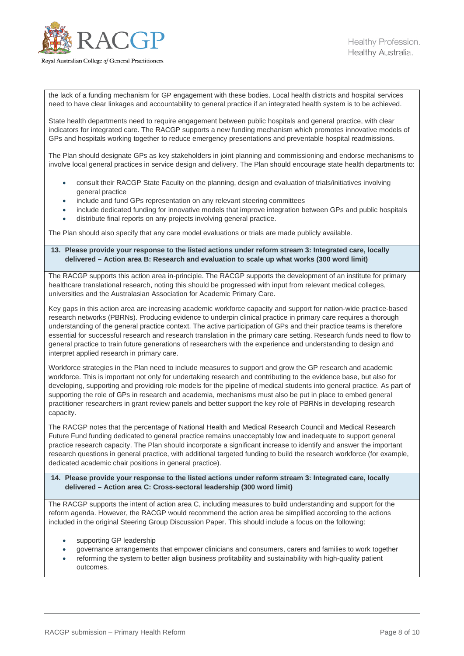

the lack of a funding mechanism for GP engagement with these bodies. Local health districts and hospital services need to have clear linkages and accountability to general practice if an integrated health system is to be achieved.

State health departments need to require engagement between public hospitals and general practice, with clear indicators for integrated care. The RACGP supports a new funding mechanism which promotes innovative models of GPs and hospitals working together to reduce emergency presentations and preventable hospital readmissions.

The Plan should designate GPs as key stakeholders in joint planning and commissioning and endorse mechanisms to involve local general practices in service design and delivery. The Plan should encourage state health departments to:

- consult their RACGP State Faculty on the planning, design and evaluation of trials/initiatives involving general practice
- include and fund GPs representation on any relevant steering committees
- include dedicated funding for innovative models that improve integration between GPs and public hospitals
- distribute final reports on any projects involving general practice.

The Plan should also specify that any care model evaluations or trials are made publicly available.

#### **13. Please provide your response to the listed actions under reform stream 3: Integrated care, locally delivered – Action area B: Research and evaluation to scale up what works (300 word limit)**

The RACGP supports this action area in-principle. The RACGP supports the development of an institute for primary healthcare translational research, noting this should be progressed with input from relevant medical colleges, universities and the Australasian Association for Academic Primary Care.

Key gaps in this action area are increasing academic workforce capacity and support for nation-wide practice-based research networks (PBRNs). Producing evidence to underpin clinical practice in primary care requires a thorough understanding of the general practice context. The active participation of GPs and their practice teams is therefore essential for successful research and research translation in the primary care setting. Research funds need to flow to general practice to train future generations of researchers with the experience and understanding to design and interpret applied research in primary care.

Workforce strategies in the Plan need to include measures to support and grow the GP research and academic workforce. This is important not only for undertaking research and contributing to the evidence base, but also for developing, supporting and providing role models for the pipeline of medical students into general practice. As part of supporting the role of GPs in research and academia, mechanisms must also be put in place to embed general practitioner researchers in grant review panels and better support the key role of PBRNs in developing research capacity.

The RACGP notes that the percentage of National Health and Medical Research Council and Medical Research Future Fund funding dedicated to general practice remains unacceptably low and inadequate to support general practice research capacity. The Plan should incorporate a significant increase to identify and answer the important research questions in general practice, with additional targeted funding to build the research workforce (for example, dedicated academic chair positions in general practice).

#### **14. Please provide your response to the listed actions under reform stream 3: Integrated care, locally delivered – Action area C: Cross-sectoral leadership (300 word limit)**

The RACGP supports the intent of action area C, including measures to build understanding and support for the reform agenda. However, the RACGP would recommend the action area be simplified according to the actions included in the original Steering Group Discussion Paper. This should include a focus on the following:

- supporting GP leadership
- governance arrangements that empower clinicians and consumers, carers and families to work together
- reforming the system to better align business profitability and sustainability with high-quality patient outcomes.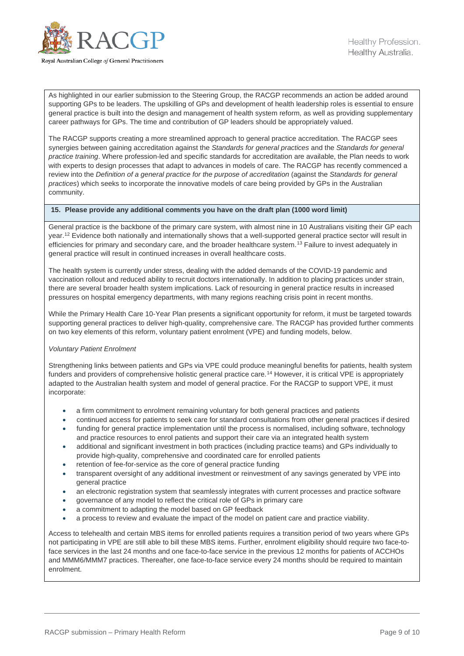

As highlighted in our earlier submission to the Steering Group, the RACGP recommends an action be added around supporting GPs to be leaders. The upskilling of GPs and development of health leadership roles is essential to ensure general practice is built into the design and management of health system reform, as well as providing supplementary career pathways for GPs. The time and contribution of GP leaders should be appropriately valued.

The RACGP supports creating a more streamlined approach to general practice accreditation. The RACGP sees synergies between gaining accreditation against the *Standards for general practices* and the *Standards for general practice training*. Where profession-led and specific standards for accreditation are available, the Plan needs to work with experts to design processes that adapt to advances in models of care. The RACGP has recently commenced a review into the *Definition of a general practice for the purpose of accreditation* (against the *Standards for general practices*) which seeks to incorporate the innovative models of care being provided by GPs in the Australian community.

#### **15. Please provide any additional comments you have on the draft plan (1000 word limit)**

General practice is the backbone of the primary care system, with almost nine in 10 Australians visiting their GP each year.<sup>[12](#page-9-11)</sup> Evidence both nationally and internationally shows that a well-supported general practice sector will result in efficiencies for primary and secondary care, and the broader healthcare system.<sup>[13](#page-9-12)</sup> Failure to invest adequately in general practice will result in continued increases in overall healthcare costs.

The health system is currently under stress, dealing with the added demands of the COVID-19 pandemic and vaccination rollout and reduced ability to recruit doctors internationally. In addition to placing practices under strain, there are several broader health system implications. Lack of resourcing in general practice results in increased pressures on hospital emergency departments, with many regions reaching crisis point in recent months.

While the Primary Health Care 10-Year Plan presents a significant opportunity for reform, it must be targeted towards supporting general practices to deliver high-quality, comprehensive care. The RACGP has provided further comments on two key elements of this reform, voluntary patient enrolment (VPE) and funding models, below.

#### *Voluntary Patient Enrolment*

Strengthening links between patients and GPs via VPE could produce meaningful benefits for patients, health system funders and providers of comprehensive holistic general practice care.<sup>[14](#page-9-13)</sup> However, it is critical VPE is appropriately adapted to the Australian health system and model of general practice. For the RACGP to support VPE, it must incorporate:

- a firm commitment to enrolment remaining voluntary for both general practices and patients
- continued access for patients to seek care for standard consultations from other general practices if desired • funding for general practice implementation until the process is normalised, including software, technology
- and practice resources to enrol patients and support their care via an integrated health system • additional and significant investment in both practices (including practice teams) and GPs individually to provide high-quality, comprehensive and coordinated care for enrolled patients
- retention of fee-for-service as the core of general practice funding
- transparent oversight of any additional investment or reinvestment of any savings generated by VPE into general practice
- an electronic registration system that seamlessly integrates with current processes and practice software
- governance of any model to reflect the critical role of GPs in primary care
- a commitment to adapting the model based on GP feedback
- a process to review and evaluate the impact of the model on patient care and practice viability.

Access to telehealth and certain MBS items for enrolled patients requires a transition period of two years where GPs not participating in VPE are still able to bill these MBS items. Further, enrolment eligibility should require two face-toface services in the last 24 months and one face-to-face service in the previous 12 months for patients of ACCHOs and MMM6/MMM7 practices. Thereafter, one face-to-face service every 24 months should be required to maintain enrolment.